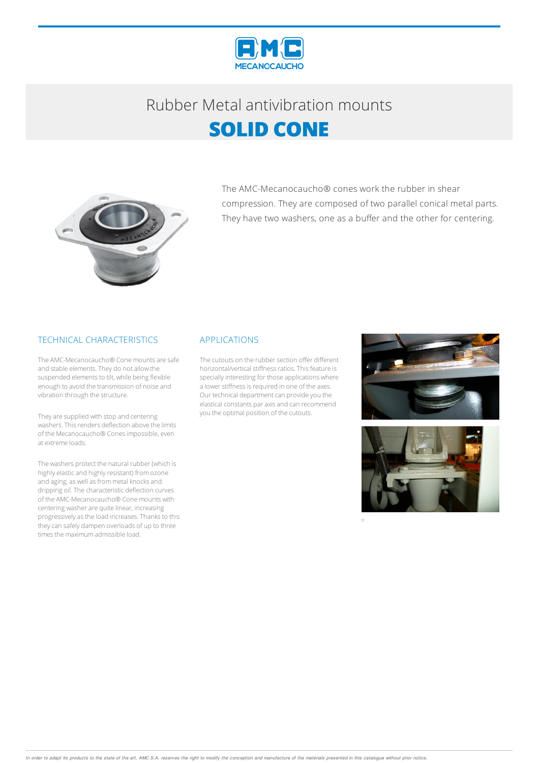

## Rubber Metalantivibration mounts **SOLID CONE**



The AMC-Mecanocaucho® cones work the rubber in shear compression. They are composed of two parallel conical metal parts. They have two washers, one as a buffer and the other for centering.

#### TECHNICAL CHARACTERISTICS

The AMC-Mecanocaucho® Cone mounts are safe and stable elements. They do not allow the suspended elements to tilt, while being flexible enough to avoid the transmission of noise and vibration through the structure.

They are supplied with stop and centering washers. This renders deflection above the limits of the Mecanocaucho® Cones impossible, even at extreme loads.

The washers protect the natural rubber (which is highly elastic and highly resistant) from ozone and aging, as well as from metal knocks and dripping oil.The characteristic deflection curves of the AMC-Mecanocaucho® Conemounts with centering washer are quite linear, increasing progressivelyasthe load increases.Thanksto this theycan safely dampen overloads of up to three times the maximum admissible load.

#### APPLICATIONS

The cutouts on the rubber section offer different horizontal/vertical stiffness ratios. This feature is specially interesting for those applications where a lower stiffness is required in one of the axes. Our technical department can provide you the elastical constants par axis and can recommend you the optimal position of the cutouts.



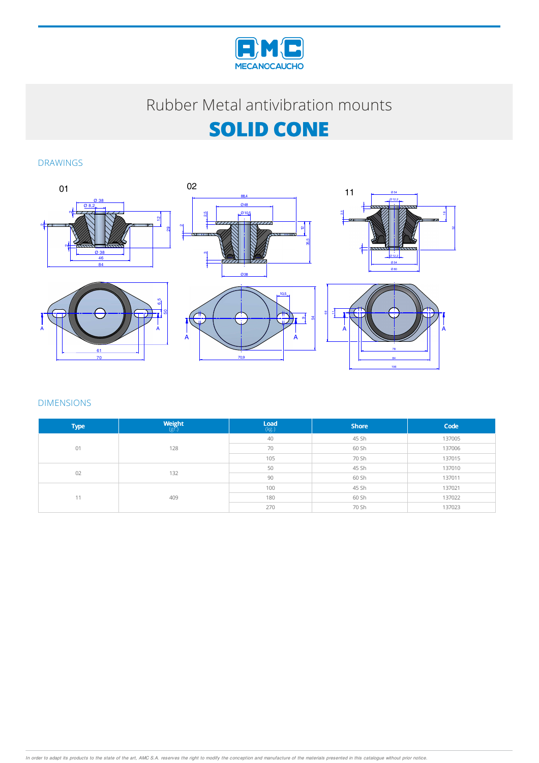

# **SOLID CONE**

DRAWINGS







02



84 106

68

| <b>Type</b> | $\underset{\left(\mathrm{gr}\right)}{\mathsf{Weight}}% \underset{\left(\mathrm{gr}\right)}{\mathsf{Weight}}% \underset{\left(\mathrm{gr}\right)}{\mathsf{Matrix}}% \underset{\left(\mathrm{gr}\right)}{\mathsf{Matrix}}% \underset{\left(\mathrm{gr}\right)}{\mathsf{Matrix}}% \underset{\left(\mathrm{gr}\right)}{\mathsf{Matrix}}% \underset{\left(\mathrm{gr}\right)}{\mathsf{Matrix}}% \underset{\left(\mathrm{gr}\right)}{\mathsf{Matrix}}% \underset{\left(\mathrm{gr}\right)}{\mathsf{Matrix}}% \underset{\left(\mathrm{gr}\right)}{\mathsf{Matrix}}% \underset{\left(\mathrm{gr}\right)}{\mathsf{Matrix}}% \underset{\left(\mathrm{gr}\right$ | $\underset{\left(\text{kg.}\right)}{\text{Load}}$ | <b>Shore</b> | Code   |
|-------------|-------------------------------------------------------------------------------------------------------------------------------------------------------------------------------------------------------------------------------------------------------------------------------------------------------------------------------------------------------------------------------------------------------------------------------------------------------------------------------------------------------------------------------------------------------------------------------------------------------------------------------------------------------|---------------------------------------------------|--------------|--------|
| 01          | 128                                                                                                                                                                                                                                                                                                                                                                                                                                                                                                                                                                                                                                                   | 40                                                | 45 Sh        | 137005 |
|             |                                                                                                                                                                                                                                                                                                                                                                                                                                                                                                                                                                                                                                                       | 70                                                | 60 Sh        | 137006 |
|             |                                                                                                                                                                                                                                                                                                                                                                                                                                                                                                                                                                                                                                                       | 105                                               | 70 Sh        | 137015 |
| 02          | 132                                                                                                                                                                                                                                                                                                                                                                                                                                                                                                                                                                                                                                                   | 50                                                | 45 Sh        | 137010 |
|             |                                                                                                                                                                                                                                                                                                                                                                                                                                                                                                                                                                                                                                                       | 90                                                | 60 Sh        | 137011 |
| 11          | 409                                                                                                                                                                                                                                                                                                                                                                                                                                                                                                                                                                                                                                                   | 100                                               | 45 Sh        | 137021 |
|             |                                                                                                                                                                                                                                                                                                                                                                                                                                                                                                                                                                                                                                                       | 180                                               | 60 Sh        | 137022 |
|             |                                                                                                                                                                                                                                                                                                                                                                                                                                                                                                                                                                                                                                                       | 270                                               | 70 Sh        | 137023 |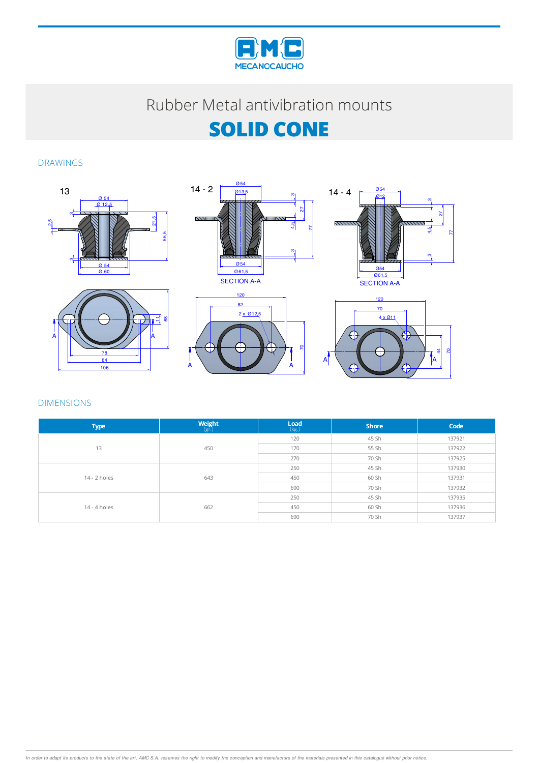

## **SOLID CONE**

DRAWINGS











| <b>Type</b>  | $\underset{\left(\mathrm{gr}\right)}{\mathsf{Weight}}% \underset{\left(\mathrm{gr}\right)}{\mathsf{Weight}}% \underset{\left(\mathrm{gr}\right)}{\mathsf{Matrix}}% \underset{\left(\mathrm{gr}\right)}{\mathsf{Matrix}}% \underset{\left(\mathrm{gr}\right)}{\mathsf{Matrix}}% \underset{\left(\mathrm{gr}\right)}{\mathsf{Matrix}}% \underset{\left(\mathrm{gr}\right)}{\mathsf{Matrix}}% \underset{\left(\mathrm{gr}\right)}{\mathsf{Matrix}}% \underset{\left(\mathrm{gr}\right)}{\mathsf{Matrix}}% \underset{\left(\mathrm{gr}\right)}{\mathsf{Matrix}}% \underset{\left(\mathrm{gr}\right)}{\mathsf{Matrix}}% \underset{\left(\mathrm{gr}\right$ | $\underset{(\text{kg.})}{\text{Load}}$ | <b>Shore</b> | Code   |
|--------------|-------------------------------------------------------------------------------------------------------------------------------------------------------------------------------------------------------------------------------------------------------------------------------------------------------------------------------------------------------------------------------------------------------------------------------------------------------------------------------------------------------------------------------------------------------------------------------------------------------------------------------------------------------|----------------------------------------|--------------|--------|
|              | 450                                                                                                                                                                                                                                                                                                                                                                                                                                                                                                                                                                                                                                                   | 120                                    | 45 Sh        | 137921 |
| 13           |                                                                                                                                                                                                                                                                                                                                                                                                                                                                                                                                                                                                                                                       | 170                                    | 55 Sh        | 137922 |
|              |                                                                                                                                                                                                                                                                                                                                                                                                                                                                                                                                                                                                                                                       | 270                                    | 70 Sh        | 137925 |
| 14 - 2 holes | 643                                                                                                                                                                                                                                                                                                                                                                                                                                                                                                                                                                                                                                                   | 250                                    | 45 Sh        | 137930 |
|              |                                                                                                                                                                                                                                                                                                                                                                                                                                                                                                                                                                                                                                                       | 450                                    | 60 Sh        | 137931 |
|              |                                                                                                                                                                                                                                                                                                                                                                                                                                                                                                                                                                                                                                                       | 690                                    | 70 Sh        | 137932 |
| 14 - 4 holes | 662                                                                                                                                                                                                                                                                                                                                                                                                                                                                                                                                                                                                                                                   | 250                                    | 45 Sh        | 137935 |
|              |                                                                                                                                                                                                                                                                                                                                                                                                                                                                                                                                                                                                                                                       | 450                                    | 60 Sh        | 137936 |
|              |                                                                                                                                                                                                                                                                                                                                                                                                                                                                                                                                                                                                                                                       | 690                                    | 70 Sh        | 137937 |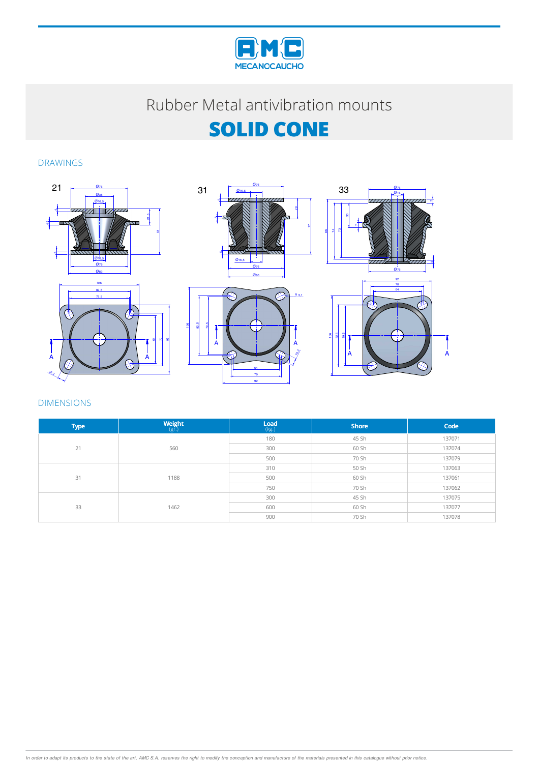

# **SOLID CONE**

DRAWINGS





| <b>Type</b> | $\underset{\left(\mathrm{gr}\right)}{\mathsf{Weight}}% \underset{\left(\mathrm{gr}\right)}{\mathsf{Weight}}% \underset{\left(\mathrm{gr}\right)}{\mathsf{Matrix}}% \underset{\left(\mathrm{gr}\right)}{\mathsf{Matrix}}% \underset{\left(\mathrm{gr}\right)}{\mathsf{Matrix}}% \underset{\left(\mathrm{gr}\right)}{\mathsf{Matrix}}% \underset{\left(\mathrm{gr}\right)}{\mathsf{Matrix}}% \underset{\left(\mathrm{gr}\right)}{\mathsf{Matrix}}% \underset{\left(\mathrm{gr}\right)}{\mathsf{Matrix}}% \underset{\left(\mathrm{gr}\right)}{\mathsf{Matrix}}% \underset{\left(\mathrm{gr}\right)}{\mathsf{Matrix}}% \underset{\left(\mathrm{gr}\right$ | $\underset{\left(\text{kg.}\right)}{\text{Load}}$ | <b>Shore</b> | Code   |
|-------------|-------------------------------------------------------------------------------------------------------------------------------------------------------------------------------------------------------------------------------------------------------------------------------------------------------------------------------------------------------------------------------------------------------------------------------------------------------------------------------------------------------------------------------------------------------------------------------------------------------------------------------------------------------|---------------------------------------------------|--------------|--------|
| 21          | 560                                                                                                                                                                                                                                                                                                                                                                                                                                                                                                                                                                                                                                                   | 180                                               | 45 Sh        | 137071 |
|             |                                                                                                                                                                                                                                                                                                                                                                                                                                                                                                                                                                                                                                                       | 300                                               | 60 Sh        | 137074 |
|             |                                                                                                                                                                                                                                                                                                                                                                                                                                                                                                                                                                                                                                                       | 500                                               | 70 Sh        | 137079 |
| 31          | 1188                                                                                                                                                                                                                                                                                                                                                                                                                                                                                                                                                                                                                                                  | 310                                               | 50 Sh        | 137063 |
|             |                                                                                                                                                                                                                                                                                                                                                                                                                                                                                                                                                                                                                                                       | 500                                               | 60 Sh        | 137061 |
|             |                                                                                                                                                                                                                                                                                                                                                                                                                                                                                                                                                                                                                                                       | 750                                               | 70 Sh        | 137062 |
| 33          | 1462                                                                                                                                                                                                                                                                                                                                                                                                                                                                                                                                                                                                                                                  | 300                                               | 45 Sh        | 137075 |
|             |                                                                                                                                                                                                                                                                                                                                                                                                                                                                                                                                                                                                                                                       | 600                                               | 60 Sh        | 137077 |
|             |                                                                                                                                                                                                                                                                                                                                                                                                                                                                                                                                                                                                                                                       | 900                                               | 70 Sh        | 137078 |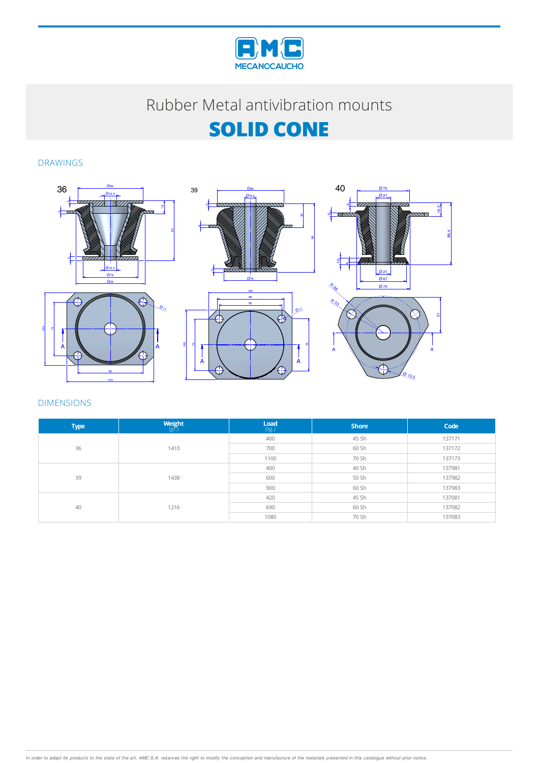

## **SOLID CONE**

#### DRAWINGS







| <b>Type</b> | $\underset{\left(\mathbb{S}\cap\right)}{\text{Weight}}% \underset{\left(\mathbb{S}\cap\right)}{\text{Weight}}% \underset{\left(\mathbb{S}\cap\right)}{\text{Weight}}% \underset{\left(\mathbb{S}\cap\right)}{\text{Weight}}% \underset{\left(\mathbb{S}\cap\right)}{\text{Weight}}% \underset{\left(\mathbb{S}\cap\right)}{\text{Weight}}% \underset{\left(\mathbb{S}\cap\right)}{\text{Weight}}% \underset{\left(\mathbb{S}\cap\right)}{\text{Weight}}% \underset{\left(\mathbb{S}\cap\right)}{\text{Weight}}% \underset{\left(\mathbb{S}\cap\right)}{\text{Weight}}% \underset{\left(\mathbb{S$ | $\underset{\left(\text{kg.}\right)}{\text{Load}}$ | <b>Shore</b> | Code   |
|-------------|---------------------------------------------------------------------------------------------------------------------------------------------------------------------------------------------------------------------------------------------------------------------------------------------------------------------------------------------------------------------------------------------------------------------------------------------------------------------------------------------------------------------------------------------------------------------------------------------------|---------------------------------------------------|--------------|--------|
| 36          | 1410                                                                                                                                                                                                                                                                                                                                                                                                                                                                                                                                                                                              | 400                                               | 45 Sh        | 137171 |
|             |                                                                                                                                                                                                                                                                                                                                                                                                                                                                                                                                                                                                   | 700                                               | 60 Sh        | 137172 |
|             |                                                                                                                                                                                                                                                                                                                                                                                                                                                                                                                                                                                                   | 1100                                              | 70 Sh        | 137173 |
| 39          | 1438                                                                                                                                                                                                                                                                                                                                                                                                                                                                                                                                                                                              | 400                                               | 40 Sh        | 137981 |
|             |                                                                                                                                                                                                                                                                                                                                                                                                                                                                                                                                                                                                   | 600                                               | 50 Sh        | 137982 |
|             |                                                                                                                                                                                                                                                                                                                                                                                                                                                                                                                                                                                                   | 900                                               | 60 Sh        | 137983 |
| 40          | 1216                                                                                                                                                                                                                                                                                                                                                                                                                                                                                                                                                                                              | 420                                               | 45 Sh        | 137081 |
|             |                                                                                                                                                                                                                                                                                                                                                                                                                                                                                                                                                                                                   | 690                                               | 60 Sh        | 137082 |
|             |                                                                                                                                                                                                                                                                                                                                                                                                                                                                                                                                                                                                   | 1080                                              | 70 Sh        | 137083 |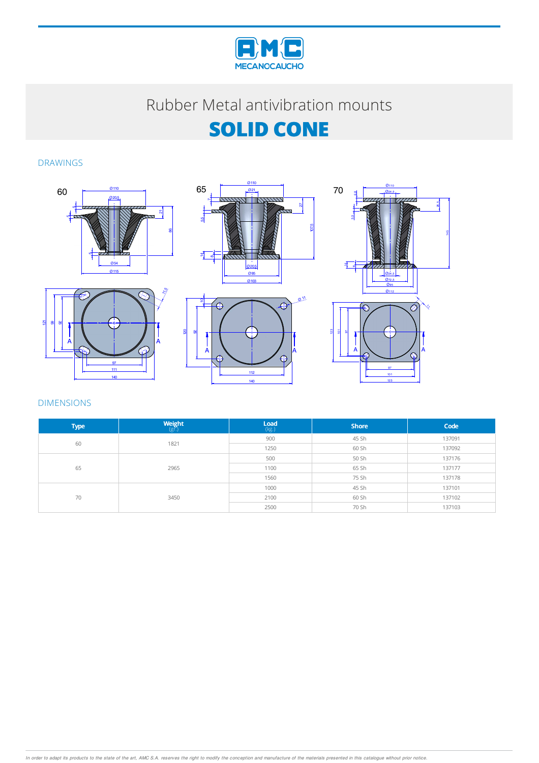

# **SOLID CONE**

#### DRAWINGS







| <b>Type</b> | $\underset{\left(\mathrm{gr}\right)}{\mathsf{Weight}}% \underset{\left(\mathrm{gr}\right)}{\mathsf{Weight}}% \underset{\left(\mathrm{gr}\right)}{\mathsf{Matrix}}% \underset{\left(\mathrm{gr}\right)}{\mathsf{Matrix}}% \underset{\left(\mathrm{gr}\right)}{\mathsf{Matrix}}% \underset{\left(\mathrm{gr}\right)}{\mathsf{Matrix}}% \underset{\left(\mathrm{gr}\right)}{\mathsf{Matrix}}% \underset{\left(\mathrm{gr}\right)}{\mathsf{Matrix}}% \underset{\left(\mathrm{gr}\right)}{\mathsf{Matrix}}% \underset{\left(\mathrm{gr}\right)}{\mathsf{Matrix}}% \underset{\left(\mathrm{gr}\right)}{\mathsf{Matrix}}% \underset{\left(\mathrm{gr}\right$ | $\mathsf{Load}$<br>$(\mathsf{kg.})$ | <b>Shore</b> | Code   |
|-------------|-------------------------------------------------------------------------------------------------------------------------------------------------------------------------------------------------------------------------------------------------------------------------------------------------------------------------------------------------------------------------------------------------------------------------------------------------------------------------------------------------------------------------------------------------------------------------------------------------------------------------------------------------------|-------------------------------------|--------------|--------|
| 60          | 1821                                                                                                                                                                                                                                                                                                                                                                                                                                                                                                                                                                                                                                                  | 900                                 | 45 Sh        | 137091 |
|             |                                                                                                                                                                                                                                                                                                                                                                                                                                                                                                                                                                                                                                                       | 1250                                | 60 Sh        | 137092 |
| 65          | 2965                                                                                                                                                                                                                                                                                                                                                                                                                                                                                                                                                                                                                                                  | 500                                 | 50 Sh        | 137176 |
|             |                                                                                                                                                                                                                                                                                                                                                                                                                                                                                                                                                                                                                                                       | 1100                                | 65 Sh        | 137177 |
|             |                                                                                                                                                                                                                                                                                                                                                                                                                                                                                                                                                                                                                                                       | 1560                                | 75 Sh        | 137178 |
| 70          | 3450                                                                                                                                                                                                                                                                                                                                                                                                                                                                                                                                                                                                                                                  | 1000                                | 45 Sh        | 137101 |
|             |                                                                                                                                                                                                                                                                                                                                                                                                                                                                                                                                                                                                                                                       | 2100                                | 60 Sh        | 137102 |
|             |                                                                                                                                                                                                                                                                                                                                                                                                                                                                                                                                                                                                                                                       | 2500                                | 70 Sh        | 137103 |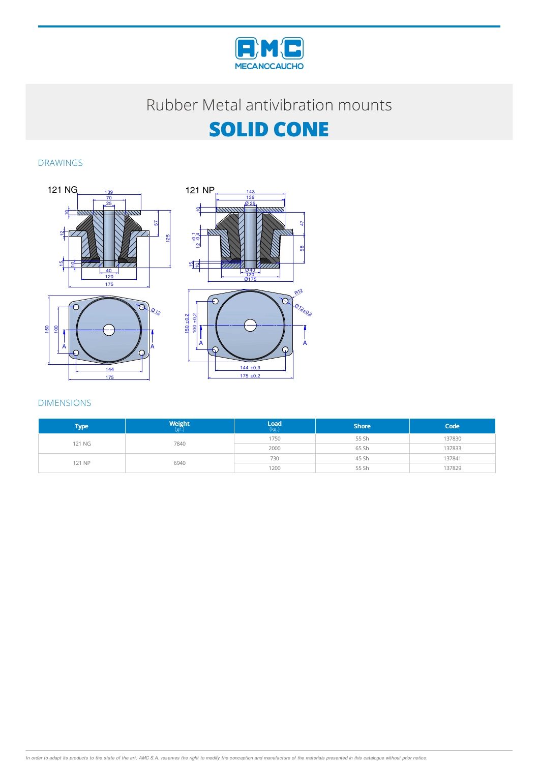

## **SOLID CONE**

DRAWINGS





| <b>Type</b> | Weight | $\mathsf{Load}$<br>$(\mathsf{kg.})$ | <b>Shore</b> | Code   |
|-------------|--------|-------------------------------------|--------------|--------|
| 121 NG      | 7840   | 1750                                | 55 Sh        | 137830 |
|             |        | 2000                                | 65 Sh        | 137833 |
| 121 NP      | 6940   | 730                                 | 45 Sh        | 137841 |
|             |        | 1200                                | 55 Sh        | 137829 |